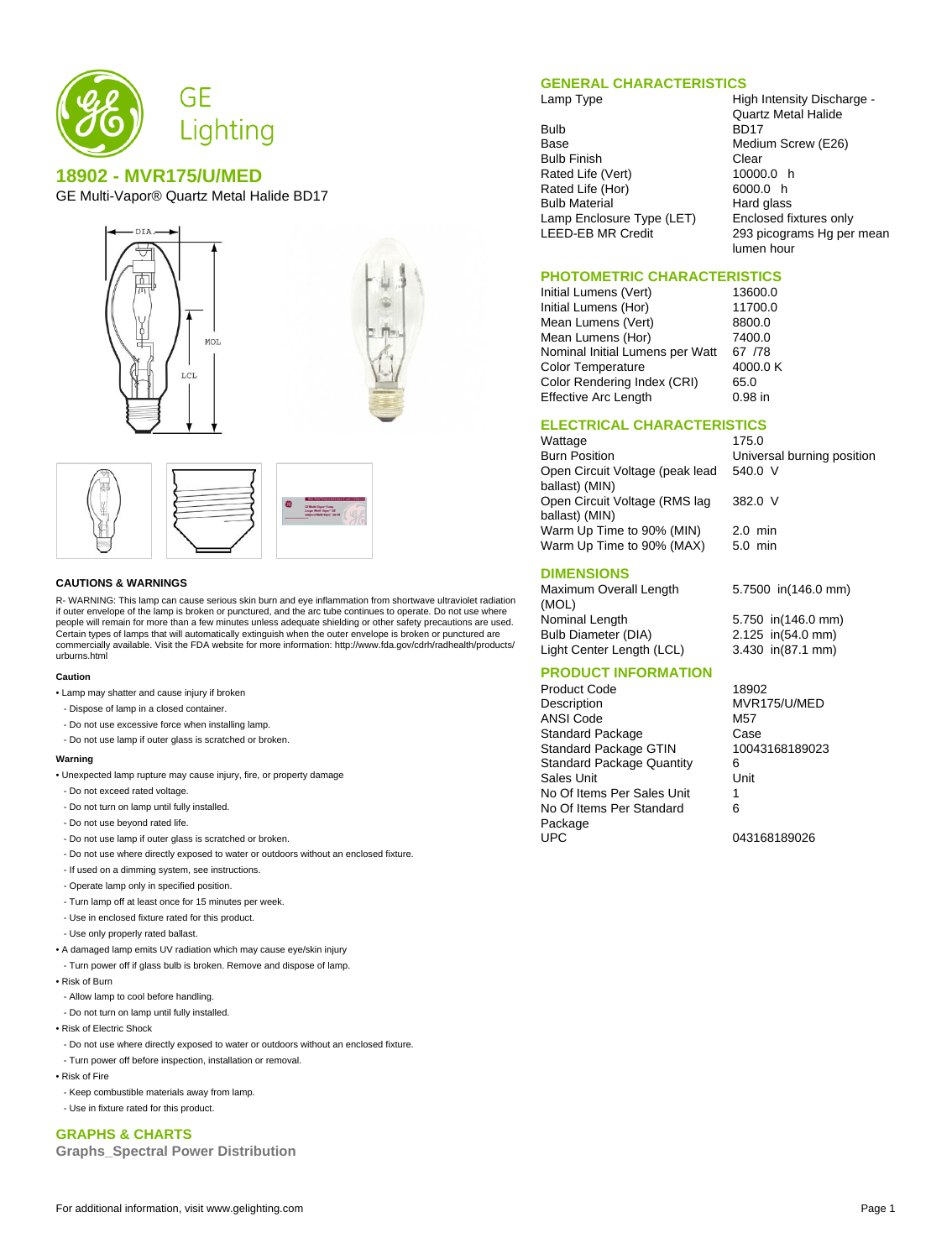

# **18902 - MVR175/U/MED**

GE Multi-Vapor® Quartz Metal Halide BD17





#### **CAUTIONS & WARNINGS**

R- WARNING: This lamp can cause serious skin burn and eye inflammation from shortwave ultraviolet radiation if outer envelope of the lamp is broken or punctured, and the arc tube continues to operate. Do not use where people will remain for more than a few minutes unless adequate shielding or other safety precautions are used. Certain types of lamps that will automatically extinguish when the outer envelope is broken or punctured are commercially available. Visit the FDA website for more information: http://www.fda.gov/cdrh/radhealth/products/ urburns.html

#### **Caution**

- Lamp may shatter and cause injury if broken
- Dispose of lamp in a closed container.
- Do not use excessive force when installing lamp.
- Do not use lamp if outer glass is scratched or broken.

#### **Warning**

- Unexpected lamp rupture may cause injury, fire, or property damage
- Do not exceed rated voltage.
- Do not turn on lamp until fully installed.
- Do not use beyond rated life.
- Do not use lamp if outer glass is scratched or broken.
- Do not use where directly exposed to water or outdoors without an enclosed fixture.
- If used on a dimming system, see instructions.
- Operate lamp only in specified position.
- Turn lamp off at least once for 15 minutes per week.
- Use in enclosed fixture rated for this product.
- Use only properly rated ballast.
- A damaged lamp emits UV radiation which may cause eye/skin injury
- Turn power off if glass bulb is broken. Remove and dispose of lamp.
- Risk of Burn
- Allow lamp to cool before handling.
- Do not turn on lamp until fully installed.
- Risk of Electric Shock
- Do not use where directly exposed to water or outdoors without an enclosed fixture.
- Turn power off before inspection, installation or removal.
- Risk of Fire
- Keep combustible materials away from lamp.
- Use in fixture rated for this product.

# **GRAPHS & CHARTS**

**Graphs\_Spectral Power Distribution**

### **GENERAL CHARACTERISTICS**

Bulb BD17<br>Base Mediu Bulb Finish Clear<br>Rated Life (Vert) 6 10000.0 h Rated Life (Vert) Rated Life (Hor) 6000.0 h Bulb Material **Hard glass**<br>Lamp Enclosure Type (LET) Enclosed fixtures only Lamp Enclosure Type (LET)

Lamp Type **High Intensity Discharge -**Quartz Metal Halide Medium Screw (E26) LEED-EB MR Credit 293 picograms Hg per mean lumen hour

### **PHOTOMETRIC CHARACTERISTICS**

Initial Lumens (Vert) 13600.0 Initial Lumens (Hor) 11700.0 Mean Lumens (Vert) 8800.0<br>Mean Lumens (Hor) 7400.0 Mean Lumens (Hor) Nominal Initial Lumens per Watt 67 / 78<br>Color Temperature 4000.0 K Color Temperature Color Rendering Index (CRI) 65.0 Effective Arc Length 0.98 in

540.0 V

382.0 V

### **ELECTRICAL CHARACTERISTICS**

Wattage 175.0 Burn Position Universal burning position Open Circuit Voltage (peak lead ballast) (MIN) Open Circuit Voltage (RMS lag ballast) (MIN) Warm Up Time to 90% (MIN) 2.0 min<br>Warm Up Time to 90% (MAX) 5.0 min Warm Up Time to 90% (MAX)

## **DIMENSIONS**

Maximum Overall Length (MOL) Nominal Length 5.750 in(146.0 mm) Bulb Diameter (DIA) 2.125 in(54.0 mm) Light Center Length (LCL) 3.430 in(87.1 mm)

5.7500 in(146.0 mm)

# **PRODUCT INFORMATION**

Product Code 18902 Description MVR175/U/MED ANSI Code M57 Standard Package Case<br>
Standard Package GTIN 10043168189023 Standard Package GTIN Standard Package Quantity 6 Sales Unit **Unit** Unit No Of Items Per Sales Unit 1 No Of Items Per Standard Package UPC 043168189026

6